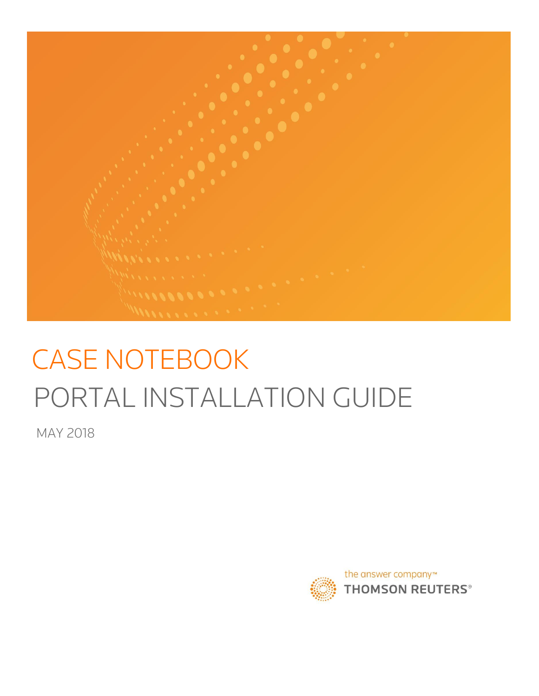

# CASE NOTEBOOK PORTAL INSTALLATION GUIDE

MAY 2018

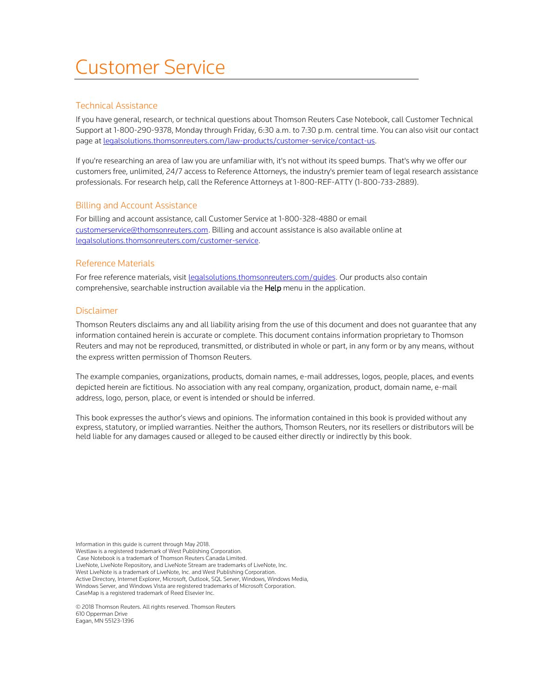### Customer Service

#### Technical Assistance

If you have general, research, or technical questions about Thomson Reuters Case Notebook, call Customer Technical Support at 1-800-290-9378, Monday through Friday, 6:30 a.m. to 7:30 p.m. central time. You can also visit our contact page a[t legalsolutions.thomsonreuters.com/law-products/customer-service/contact-us.](http://legalsolutions.thomsonreuters.com/law-products/customer-service/contact-us)

If you're researching an area of law you are unfamiliar with, it's not without its speed bumps. That's why we offer our customers free, unlimited, 24/7 access to Reference Attorneys, the industry's premier team of legal research assistance professionals. For research help, call the Reference Attorneys at 1-800-REF-ATTY (1-800-733-2889).

#### Billing and Account Assistance

For billing and account assistance, call Customer Service at 1-800-328-4880 or email [customerservice@thomsonreuters.com.](mailto:customerservice@thomsonreuters.com) Billing and account assistance is also available online at [legalsolutions.thomsonreuters.com/customer-service.](http://legalsolutions.thomsonreuters.com/law-products/customer-service)

#### Reference Materials

For free reference materials, visit [legalsolutions.thomsonreuters.com/guides.](http://legalsolutions.thomsonreuters.com/law-products/product-support/user-guides) Our products also contain comprehensive, searchable instruction available via the Help menu in the application.

#### Disclaimer

Thomson Reuters disclaims any and all liability arising from the use of this document and does not guarantee that any information contained herein is accurate or complete. This document contains information proprietary to Thomson Reuters and may not be reproduced, transmitted, or distributed in whole or part, in any form or by any means, without the express written permission of Thomson Reuters.

The example companies, organizations, products, domain names, e-mail addresses, logos, people, places, and events depicted herein are fictitious. No association with any real company, organization, product, domain name, e-mail address, logo, person, place, or event is intended or should be inferred.

This book expresses the author's views and opinions. The information contained in this book is provided without any express, statutory, or implied warranties. Neither the authors, Thomson Reuters, nor its resellers or distributors will be held liable for any damages caused or alleged to be caused either directly or indirectly by this book.

Information in this guide is current through May 2018. Westlaw is a registered trademark of West Publishing Corporation. Case Notebook is a trademark of Thomson Reuters Canada Limited. LiveNote, LiveNote Repository, and LiveNote Stream are trademarks of LiveNote, Inc. West LiveNote is a trademark of LiveNote, Inc. and West Publishing Corporation. Active Directory, Internet Explorer, Microsoft, Outlook, SQL Server, Windows, Windows Media, Windows Server, and Windows Vista are registered trademarks of Microsoft Corporation. CaseMap is a registered trademark of Reed Elsevier Inc.

© 2018 Thomson Reuters. All rights reserved. Thomson Reuters 610 Opperman Drive Eagan, MN 55123-1396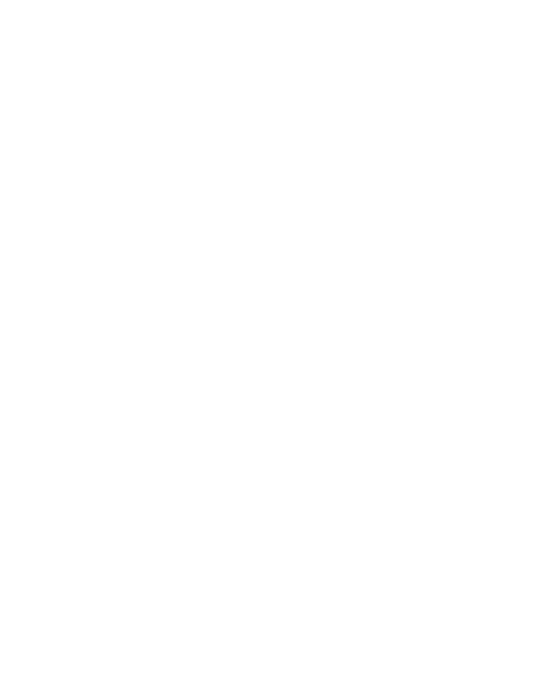<span id="page-3-0"></span>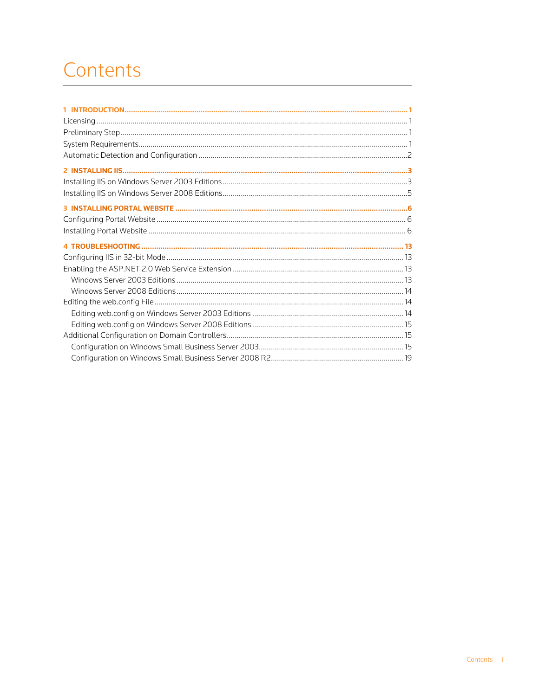### Contents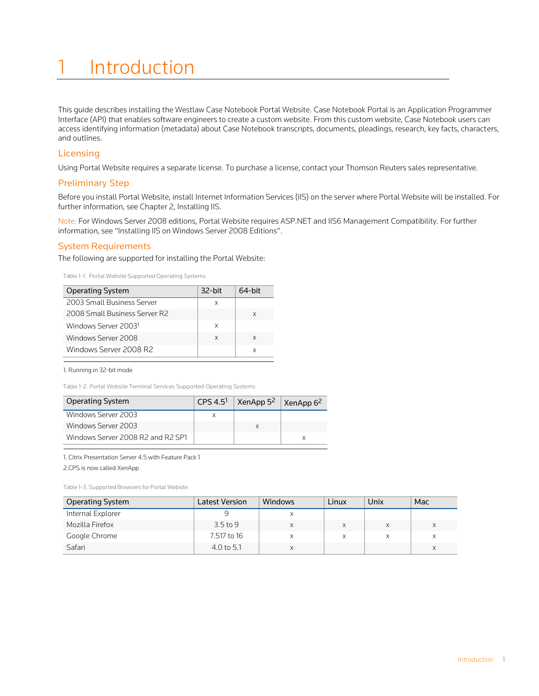# <span id="page-5-0"></span>1 Introduction

This guide describes installing the Westlaw Case Notebook Portal Website. Case Notebook Portal is an Application Programmer Interface (API) that enables software engineers to create a custom website. From this custom website, Case Notebook users can access identifying information (metadata) about Case Notebook transcripts, documents, pleadings, research, key facts, characters, and outlines.

#### <span id="page-5-1"></span>Licensing

Using Portal Website requires a separate license. To purchase a license, contact your Thomson Reuters sales representative.

#### <span id="page-5-2"></span>Preliminary Step

Before you install Portal Website, install Internet Information Services (IIS) on the server where Portal [Website will be installed. For](#page-7-0)  [further information, see Chapter 2, Installing IIS.](#page-7-0)

Note: For Windows Server 2008 editions, Portal Website requires ASP.NET and IIS6 Management Compatibility. For further information, see ["Installing IIS on Windows Server 2008 Editions"](#page-9-0).

#### <span id="page-5-3"></span>System Requirements

The following are supported for installing the Portal Website:

Table 1-1. Portal Website Supported Operating Systems

| <b>Operating System</b>          | 32-bit | 64-bit |
|----------------------------------|--------|--------|
| 2003 Small Business Server       | X      |        |
| 2008 Small Business Server R2    |        | X      |
| Windows Server 2003 <sup>1</sup> | X      |        |
| Windows Server 2008              | X      | X      |
| Windows Server 2008 R2           |        | X      |

1. Running in 32-bit mode

Table 1-2. Portal Website Terminal Services Supported Operating Systems

| <b>Operating System</b>           | CPS 4.5 <sup>1</sup> | $\vert$ XenApp 5 <sup>2</sup> $\vert$ XenApp 6 <sup>2</sup> |  |
|-----------------------------------|----------------------|-------------------------------------------------------------|--|
| Windows Server 2003               |                      |                                                             |  |
| Windows Server 2003               |                      |                                                             |  |
| Windows Server 2008 R2 and R2 SP1 |                      |                                                             |  |

1. Citrix Presentation Server 4.5 with Feature Pack 1

2.CPS is now called XenApp

Table 1-3. Supported Browsers for Portal Website

| <b>Operating System</b> | Latest Version | <b>Windows</b> | Linux | Unix | Mac |
|-------------------------|----------------|----------------|-------|------|-----|
| Internal Explorer       |                |                |       |      |     |
| Mozilla Firefox         | $3.5$ to 9     | X              | X     | X    | X   |
| Google Chrome           | 7.517 to 16    | X.             | X     | X    | X   |
| Safari                  | 4.0 to 5.1     |                |       |      | X   |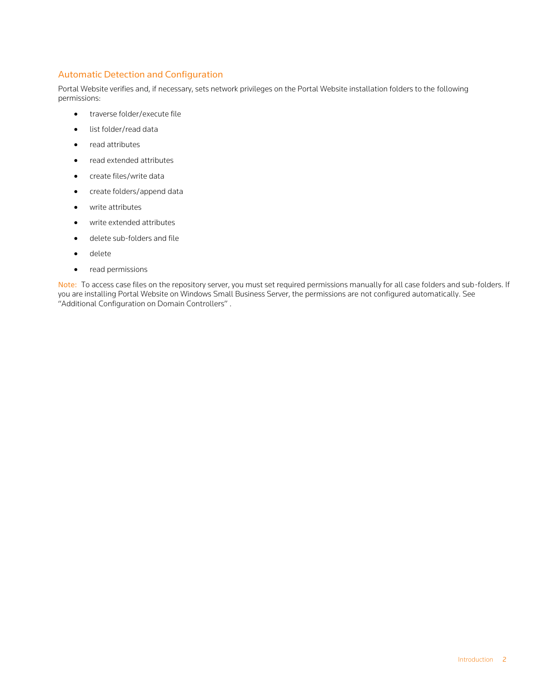#### <span id="page-6-0"></span>Automatic Detection and Configuration

Portal Website verifies and, if necessary, sets network privileges on the Portal Website installation folders to the following permissions:

- traverse folder/execute file
- list folder/read data
- read attributes
- read extended attributes
- create files/write data
- create folders/append data
- write attributes
- write extended attributes
- delete sub-folders and file
- delete
- read permissions

Note: To access case files on the repository server, you must set required permissions manually for all case folders and sub-folders. If you are installing Portal Website on Windows Small Business Server, the permissions are [not configured automatically. See](#page-19-1)  ["Additional Configuration on Domain Controllers"](#page-19-1) [.](#page-3-0)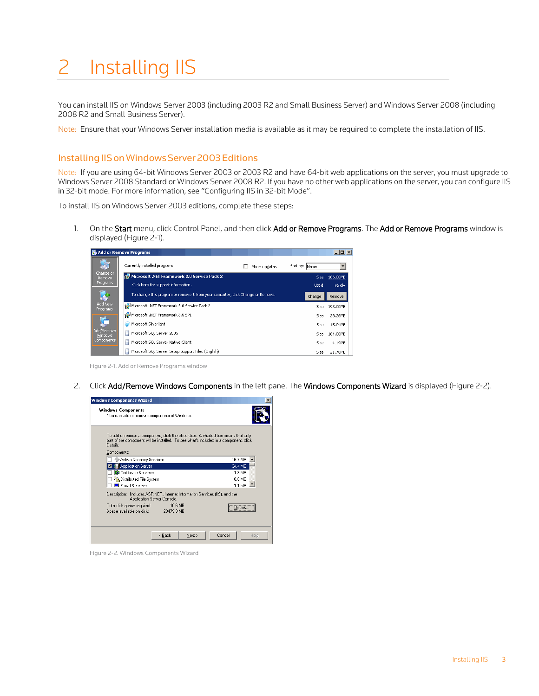# <span id="page-7-0"></span>2 Installing IIS

You can install IIS on Windows Server 2003 (including 2003 R2 and Small Business Server) and Windows Server 2008 (including 2008 R2 and Small Business Server).

Note: Ensure that your Windows Server installation media is available as it may be required to complete the installation of IIS.

#### <span id="page-7-1"></span>Installing IIS on Windows Server 2003 Editions

Note: If you are using 64-bit Windows Server 2003 or 2003 R2 and have 64-bit web applications on the server, you must upgrade to Windows Server 2008 Standard or Windows Server 2008 R2. If you have no other web applications on the server, you can configure IIS in 32-bit [mode. For more information, see](#page-17-1) "Configuring IIS in 32-bit Mode".

To install IIS on Windows Server 2003 editions, complete these steps:

1. On the Start menu, click Control Panel, and then click Add or Remove Programs. The Add or Remove Programs window is displayed (Figure 2-1).

|                       | Add or Remove Programs                                                          |               | $   \overline{2}$ |
|-----------------------|---------------------------------------------------------------------------------|---------------|-------------------|
| 图                     | Currently installed programs:<br>Show updates                                   | Sort by: Name |                   |
| Change or<br>Remove   | Microsoft .NET Framework 2.0 Service Pack 2                                     | <b>Size</b>   | 186,00MB          |
| Programs              | Click here for support information.                                             | Used          | rarely            |
|                       | To change this program or remove it from your computer, click Change or Remove. | Change        | Remove            |
| Add New<br>Programs   | Microsoft .NET Framework 3.0 Service Pack 2                                     | Size          | 193.00MB          |
| ۳                     | Microsoft .NET Framework 3.5 SP1                                                | Size          | 28.26MB           |
|                       | Microsoft Silverlight                                                           | Size          | 15.04MB           |
| Add/Remove<br>Windows | E<br>Microsoft SQL Server 2005                                                  | Size          | 184.00MB          |
| Components            | Ħ<br>Microsoft SOL Server Native Client                                         | Size          | 4.19MB            |
|                       | Ħ<br>Microsoft SQL Server Setup Support Files (English)                         | Size          | 21.78MB           |

Figure 2-1. Add or Remove Programs window

2. Click Add/Remove Windows Components in the left pane. The Windows Components Wizard is displayed (Figure 2-2).



Figure 2-2. Windows Components Wizard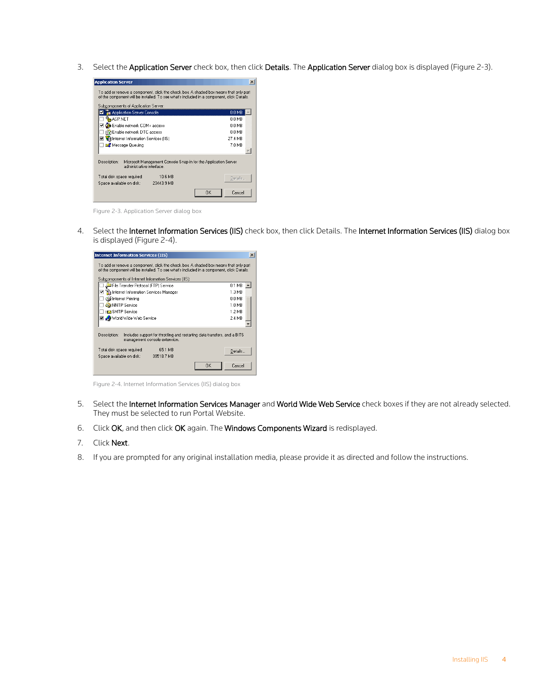3. Select the Application Server check box, then click Details. The Application Server dialog box is [displayed \(Figure](#page-8-0) 2-3).



Figure 2-3. Application Server dialog box

<span id="page-8-0"></span>4. Select the Internet Information Services (IIS) check box, then click Details. The Internet Information Services (IIS) dialog box [is displayed \(Figure](#page-8-1) 2-4).

| Internet Information Services (IIS)                                                                                                                                                                                                        | $\vert x \vert$ |
|--------------------------------------------------------------------------------------------------------------------------------------------------------------------------------------------------------------------------------------------|-----------------|
| To add or remove a component, click the check box. A shaded box means that only part<br>of the component will be installed. To see what's included in a component, click Details.<br>Subcomponents of Internet Information Services (IIS): |                 |
| File Transfer Protocol (FTP) Service                                                                                                                                                                                                       | 0.1 MB          |
| <b>Th</b> Internet Information Services Manager<br>▽                                                                                                                                                                                       | 1.3 MB          |
| Internet Printing                                                                                                                                                                                                                          | 0.0 MB          |
| <b>NNTP</b> Service                                                                                                                                                                                                                        | 1 N MR          |
| <b>EXA</b> SMTP Service                                                                                                                                                                                                                    | 1.2 MB          |
| ■ S World Wide Web Service                                                                                                                                                                                                                 | 2.4 MB          |
|                                                                                                                                                                                                                                            |                 |
| Description:<br>Includes support for throttling and restarting data transfers, and a BITS<br>management console extension.                                                                                                                 |                 |
| 65.1 MB<br>Total disk space required:                                                                                                                                                                                                      | Details         |
| 39518.7 MB<br>Space available on disk:                                                                                                                                                                                                     |                 |
| <b>OK</b>                                                                                                                                                                                                                                  | Cancel          |

Figure 2-4. Internet Information Services (IIS) dialog box

- <span id="page-8-1"></span>5. Select the Internet Information Services Manager and World Wide Web Service check boxes if they are not already selected. They must be selected to run Portal Website.
- 6. Click OK, and then click OK again. The Windows Components Wizard is redisplayed.
- 7. Click Next.
- 8. If you are prompted for any original installation media, please provide it as directed and follow the instructions.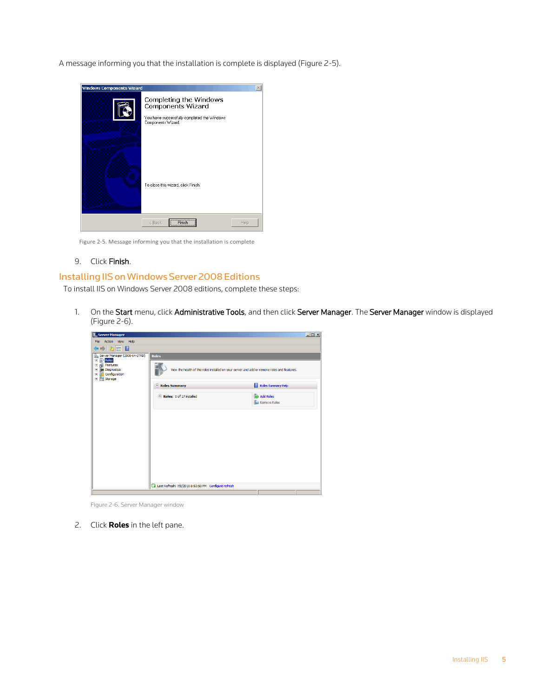A message informing you that the installation is complete is displayed (Figure 2-5).

| <b>Windows Components Wizard</b> |                                                                                                                         |       |
|----------------------------------|-------------------------------------------------------------------------------------------------------------------------|-------|
|                                  | Completing the Windows<br><b>Components Wizard</b><br>You have successfully completed the Windows<br>Components Wizard. |       |
|                                  | To close this wizard, click Finish.                                                                                     |       |
|                                  | Finish<br>< Back                                                                                                        | Help. |

Figure 2-5. Message informing you that the installation is complete

#### 9. Click Finish.

#### <span id="page-9-0"></span>Installing IIS on Windows Server 2008 Editions

To install IIS on Windows Server 2008 editions, complete these steps:

1. On the Start menu, click Administrative Tools, and then click Server Manager. The Server Manager window is displayed [\(Figure](#page-9-1) 2-6).

| Server Manager                                                                                                                                                                                                                                                                                                                                                                                                                                                |                                                     | $-10x$                                                                                      |
|---------------------------------------------------------------------------------------------------------------------------------------------------------------------------------------------------------------------------------------------------------------------------------------------------------------------------------------------------------------------------------------------------------------------------------------------------------------|-----------------------------------------------------|---------------------------------------------------------------------------------------------|
| File Action View Help                                                                                                                                                                                                                                                                                                                                                                                                                                         |                                                     |                                                                                             |
| $\Leftrightarrow$ $\begin{tabular}{c c c c c} \hline \multicolumn{1}{c }{\textbf{A}} & \multicolumn{1}{c }{\textbf{B}} & \multicolumn{1}{c }{\textbf{C}} \\ \hline \multicolumn{1}{c }{\textbf{A}} & \multicolumn{1}{c }{\textbf{A}} & \multicolumn{1}{c }{\textbf{B}} & \multicolumn{1}{c }{\textbf{C}} \\ \hline \multicolumn{1}{c }{\textbf{A}} & \multicolumn{1}{c }{\textbf{A}} & \multicolumn{1}{c }{\textbf{A}} & \multicolumn{1}{c }{\textbf{A}} & \$ |                                                     |                                                                                             |
| Server Manager (2008-64-STRD)<br><b>ELEX</b> Roles<br>$\blacksquare$ $\blacksquare$ Features                                                                                                                                                                                                                                                                                                                                                                  | <b>Roles</b>                                        |                                                                                             |
| E <b>But</b> Diagnostics<br><b>Configuration</b><br>国<br>田 <b>Pre</b> Storage                                                                                                                                                                                                                                                                                                                                                                                 |                                                     | View the health of the roles installed on your server and add or remove roles and features. |
|                                                                                                                                                                                                                                                                                                                                                                                                                                                               | Roles Summary                                       | Roles Summary Help                                                                          |
|                                                                                                                                                                                                                                                                                                                                                                                                                                                               | Roles: 0 of 17 installed                            | Add Roles<br>Remove Roles                                                                   |
|                                                                                                                                                                                                                                                                                                                                                                                                                                                               |                                                     |                                                                                             |
|                                                                                                                                                                                                                                                                                                                                                                                                                                                               |                                                     |                                                                                             |
|                                                                                                                                                                                                                                                                                                                                                                                                                                                               |                                                     |                                                                                             |
|                                                                                                                                                                                                                                                                                                                                                                                                                                                               |                                                     |                                                                                             |
|                                                                                                                                                                                                                                                                                                                                                                                                                                                               |                                                     |                                                                                             |
|                                                                                                                                                                                                                                                                                                                                                                                                                                                               |                                                     |                                                                                             |
|                                                                                                                                                                                                                                                                                                                                                                                                                                                               | Last Refresh: 7/8/2010 8:53:50 PM Configure refresh |                                                                                             |
|                                                                                                                                                                                                                                                                                                                                                                                                                                                               |                                                     |                                                                                             |

Figure 2-6. Server Manager window

<span id="page-9-1"></span>2. Click **Roles** in the left pane.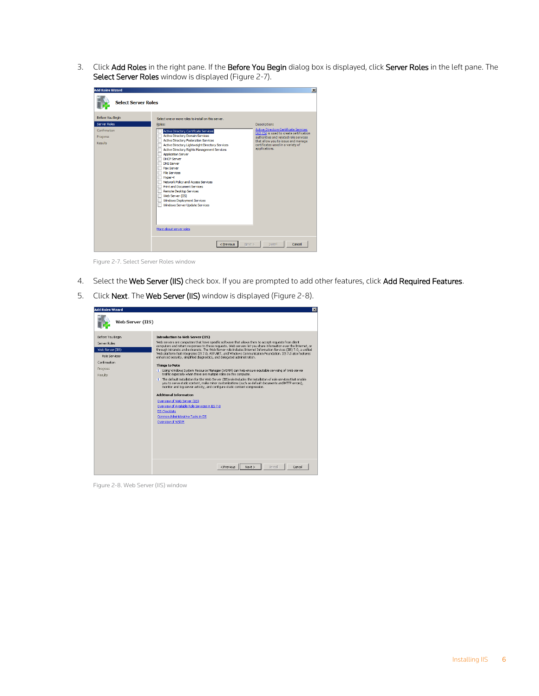3. Click Add Roles in the right pane. If the Before You Begin dialog box is displayed, click Server Roles in the left pane. The Select Server Role[s window is displayed \(Figure](#page-10-0) 2-7).

| <b>Add Roles Wizard</b>                                                               |                                                                                                                                                                                                                                                                                                                                                                                                                                                                                                                                                                                                                                                                                                                             | $\vert x \vert$                                                                                                                                                                                                                                                  |
|---------------------------------------------------------------------------------------|-----------------------------------------------------------------------------------------------------------------------------------------------------------------------------------------------------------------------------------------------------------------------------------------------------------------------------------------------------------------------------------------------------------------------------------------------------------------------------------------------------------------------------------------------------------------------------------------------------------------------------------------------------------------------------------------------------------------------------|------------------------------------------------------------------------------------------------------------------------------------------------------------------------------------------------------------------------------------------------------------------|
| <b>Select Server Roles</b>                                                            |                                                                                                                                                                                                                                                                                                                                                                                                                                                                                                                                                                                                                                                                                                                             |                                                                                                                                                                                                                                                                  |
| <b>Before You Begin</b><br><b>Server Roles</b><br>Confirmation<br>Progress<br>Results | Select one or more roles to install on this server.<br>Roles:<br><b>Active Directory Certificate Services</b><br><b>Active Directory Domain Services</b><br><b>Active Directory Federation Services</b><br>Active Directory Lightweight Directory Services<br><b>Active Directory Rights Management Services</b><br><b>Application Server</b><br><b>DHCP Server</b><br><b>DNS Server</b><br><b>Fax Server</b><br><b>File Services</b><br>Hyper-V<br><b>Network Policy and Access Services</b><br><b>Print and Document Services</b><br><b>Remote Desktop Services</b><br>Web Server (IIS)<br><b>Windows Deployment Services</b><br><b>Windows Server Update Services</b><br>More about server roles<br>$<$ Previous<br>Next | Description:<br><b>Active Directory Certificate Services</b><br>(AD CS) is used to create certification<br>authorities and related role services<br>that allow you to issue and manage<br>certificates used in a variety of<br>applications.<br>Tostal<br>Cancel |

Figure 2-7. Select Server Roles window

- <span id="page-10-0"></span>4. Select the Web Server (IIS) check box. If you are prompted to add other features, click Add Required Features.
- 5. Click Next. The Web Server (IIS[\) window is displayed \(Figure 2-8\).](#page-10-1)

| <b>Add Roles Wizard</b>                                                                                      | $\times$                                                                                                                                                                                                                                                                                                                                                                                                                                                                                                                                                                                                                                                                                                                                                                                                                                                                                                                                                                                                                                                                                                                                                                                                                                                                                                                                      |
|--------------------------------------------------------------------------------------------------------------|-----------------------------------------------------------------------------------------------------------------------------------------------------------------------------------------------------------------------------------------------------------------------------------------------------------------------------------------------------------------------------------------------------------------------------------------------------------------------------------------------------------------------------------------------------------------------------------------------------------------------------------------------------------------------------------------------------------------------------------------------------------------------------------------------------------------------------------------------------------------------------------------------------------------------------------------------------------------------------------------------------------------------------------------------------------------------------------------------------------------------------------------------------------------------------------------------------------------------------------------------------------------------------------------------------------------------------------------------|
| Web Server (IIS)                                                                                             |                                                                                                                                                                                                                                                                                                                                                                                                                                                                                                                                                                                                                                                                                                                                                                                                                                                                                                                                                                                                                                                                                                                                                                                                                                                                                                                                               |
| Before You Begin<br>Server Roles<br>Web Server (IIS)<br>Role Services<br>Confirmation<br>Progress<br>Results | <b>Introduction to Web Server (IIS)</b><br>Web servers are computers that have specific software that allows them to accept requests from client<br>computers and return responses to those requests. Web servers let you share information over the Internet, or<br>through intranets and extranets. The Web Server role includes Internet Information Services (IIS) 7.0, a unified<br>Web platform that integrates IIS 7.0, ASP.NET, and Windows Communication Foundation, IIS 7.0 also features<br>enhanced security, simplified diagnostics, and delegated administration.<br><b>Things to Note</b><br>i Using Windows System Resource Manager (WSRM) can help ensure equitable servicing of Web server<br>traffic especially when there are multiple roles on this computer.<br>D The default installation for the Web Server (IIS) role includes the installation of role services that enable<br>you to serve static content, make minor customizations (such as default documents and HTTP errors).<br>monitor and log server activity, and configure static content compression.<br><b>Additional Information</b><br>Overview of Web Server (IIS)<br>Overview of Available Role Services in IIS 7.0<br><b>IIS Checklists</b><br>Common Administrative Tasks in IIS<br>Overview of WSRM<br>Next ><br>Tostall<br>< Previous<br>Cancel |

<span id="page-10-1"></span>Figure 2-8. Web Server (IIS) window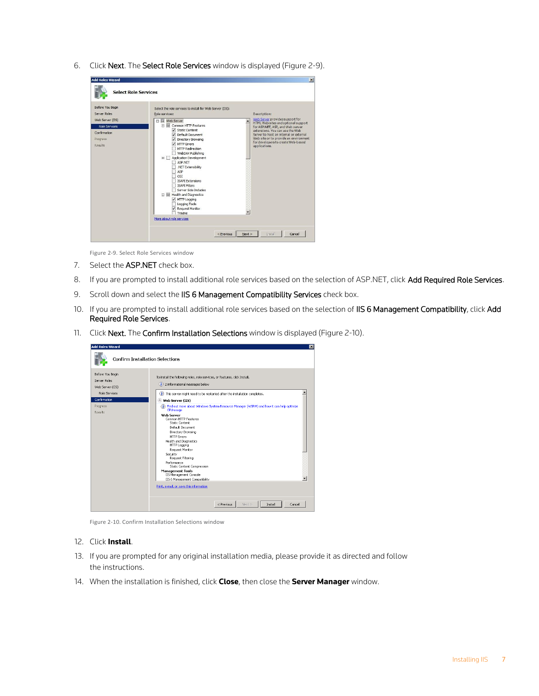6. Click Next. The Select Role Services [window is displayed \(Figure](#page-11-0) 2-9).

| <b>Add Roles Wizard</b>                                                                                             | $\vert x \vert$                                                                                                                                                                                                                                                                                                                                                                                                                                                                                                                                                                                                                                                                                                                                                                                                                                                                                                                                                  |
|---------------------------------------------------------------------------------------------------------------------|------------------------------------------------------------------------------------------------------------------------------------------------------------------------------------------------------------------------------------------------------------------------------------------------------------------------------------------------------------------------------------------------------------------------------------------------------------------------------------------------------------------------------------------------------------------------------------------------------------------------------------------------------------------------------------------------------------------------------------------------------------------------------------------------------------------------------------------------------------------------------------------------------------------------------------------------------------------|
| <b>Select Role Services</b>                                                                                         |                                                                                                                                                                                                                                                                                                                                                                                                                                                                                                                                                                                                                                                                                                                                                                                                                                                                                                                                                                  |
| Before You Beain<br>Server Roles<br>Web Server (IIS)<br><b>Role Services</b><br>Confirmation<br>Progress<br>Results | Select the role services to install for Web Server (IIS):<br>Role services:<br>Description:<br>Web Server provides support for<br>Web Server<br>$\overline{\phantom{a}}$<br>同<br>HTML Web sites and optional support<br>F <b>III</b> Common HTTP Features<br>for ASP.NET, ASP, and Web server<br>Static Content<br>$\sqrt{2}$<br>extensions. You can use the Web<br>Server to host an internal or external<br><b>J</b> Default Document<br>Web site or to provide an environment<br>V Directory Browsing<br>for developers to create Web-based<br>V HTTP Errors<br>applications.<br><b>HTTP Redirection</b><br>WebDAV Publishing<br>Application Development<br>ASP.NET<br>.NET Extensibility<br>ASP<br>CGI<br><b>ISAPI Extensions</b><br><b>ISAPI Filters</b><br>Server Side Includes<br>$\Box$ Health and Diagnostics<br>V HTTP Logging<br>Logging Tools<br>Request Monitor<br>Tracing<br>More about role services<br>$<$ Previous<br>Next<br>Install<br>Cancel |
|                                                                                                                     |                                                                                                                                                                                                                                                                                                                                                                                                                                                                                                                                                                                                                                                                                                                                                                                                                                                                                                                                                                  |

Figure 2-9. Select Role Services window

- <span id="page-11-0"></span>7. Select the **ASP.NET** check box.
- 8. If you are prompted to install additional role services based on the selection of ASP.NET, click Add Required Role Services.
- 9. Scroll down and select the IIS 6 Management Compatibility Services check box.
- 10. If you are prompted to install additional role services based on the selection of IIS 6 Management Compatibility, click Add Required Role Services.
- 11. Click Next. The Confirm Installation Selections window is [displayed \(Figure 2-10\).](#page-11-1)

| <b>Add Roles Wizard</b>                                               |                                                                                                                                                                                                                                                                                                                                                                                                                                                                                                                                                                                   | 図 |
|-----------------------------------------------------------------------|-----------------------------------------------------------------------------------------------------------------------------------------------------------------------------------------------------------------------------------------------------------------------------------------------------------------------------------------------------------------------------------------------------------------------------------------------------------------------------------------------------------------------------------------------------------------------------------|---|
| <b>Confirm Installation Selections</b>                                |                                                                                                                                                                                                                                                                                                                                                                                                                                                                                                                                                                                   |   |
| Before You Begin<br>Server Roles<br>Web Server (IIS)<br>Role Services | To install the following roles, role services, or features, click Install.<br>(i) 2 informational messages below<br>(ii) This server might need to be restarted after the installation completes.                                                                                                                                                                                                                                                                                                                                                                                 |   |
| Confirmation                                                          | Web Server (IIS)                                                                                                                                                                                                                                                                                                                                                                                                                                                                                                                                                                  |   |
| Progress<br>Results                                                   | (iii) Find out more about Windows System Resource Manager (WSRM) and how it can help optimize<br>CPU usage<br><b>Web Server</b><br>Common HTTP Features<br>Static Content<br>Default Document<br>Directory Browsing<br><b>HTTP Fronts</b><br><b>Health and Diagnostics</b><br>HTTP Logging<br>Request Monitor<br>Security<br>Request Filtering<br>Performance<br>Static Content Compression<br><b>Management Tools</b><br><b>IIS Management Console</b><br>IIS 6 Management Compatibility<br>Print, e-mail, or save this information<br>Install<br>Next ><br>< Previous<br>Cancel |   |
|                                                                       |                                                                                                                                                                                                                                                                                                                                                                                                                                                                                                                                                                                   |   |

Figure 2-10. Confirm Installation Selections window

#### <span id="page-11-1"></span>12. Click **Install**.

- 13. If you are prompted for any original installation media, please provide it as directed and follow the instructions.
- 14. When the installation is finished, click **Close**, then close the **Server Manager** window.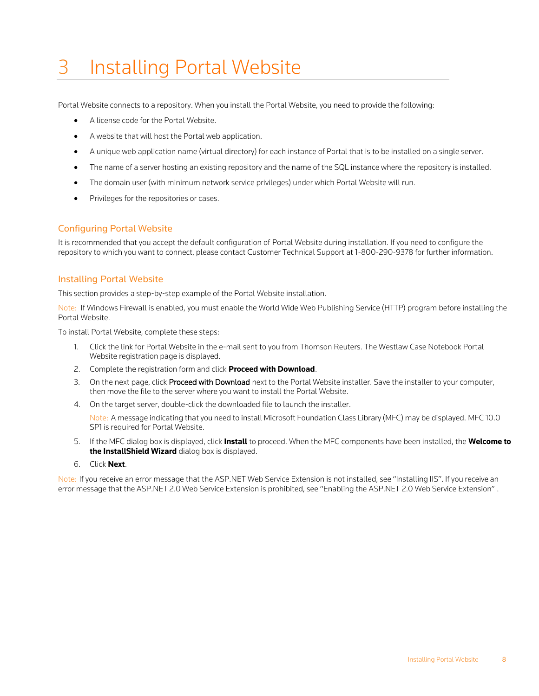## <span id="page-12-0"></span>3 Installing Portal Website

Portal Website connects to a repository. When you install the Portal Website, you need to provide the following:

- A license code for the Portal Website.
- A website that will host the Portal web application.
- A unique web application name (virtual directory) for each instance of Portal that is to be installed on a single server.
- The name of a server hosting an existing repository and the name of the SQL instance where the repository is installed.
- The domain user (with minimum network service privileges) under which Portal Website will run.
- Privileges for the repositories or cases.

#### <span id="page-12-1"></span>Configuring Portal Website

It is recommended that you accept the default configuration of Portal Website during installation. If you need to configure the repository to which you want to connect, please contact Customer Technical Support at 1-800-290-9378 for further information.

#### <span id="page-12-2"></span>Installing Portal Website

This section provides a step-by-step example of the Portal Website installation.

Note: If Windows Firewall is enabled, you must enable the World Wide Web Publishing Service (HTTP) program before installing the Portal Website.

To install Portal Website, complete these steps:

- 1. Click the link for Portal Website in the e-mail sent to you from Thomson Reuters. The Westlaw Case Notebook Portal Website registration page is displayed.
- 2. Complete the registration form and click **Proceed with Download**.
- 3. On the next page, click Proceed with Download next to the Portal Website installer. Save the installer to your computer, then move the file to the server where you want to install the Portal Website.
- 4. On the target server, double-click the downloaded file to launch the installer.

Note: A message indicating that you need to install Microsoft Foundation Class Library (MFC) may be displayed. MFC 10.0 SP1 is required for Portal Website.

- 5. If the MFC dialog box is displayed, click **Install** to proceed. When the MFC components have been installed, the **Welcome to the InstallShield Wizard** dialog box is displayed.
- 6. Click **Next**.

Note: If you receive an error message that the ASP.NET Web Service Extension is not installed, see "Inst[alling](#page-7-0) IIS". If you receive an error message that the ASP.NET 2.0 Web Service Extension is prohibited, see ["Enabling the ASP.NET 2.0 Web Service Extension"](#page-17-2) .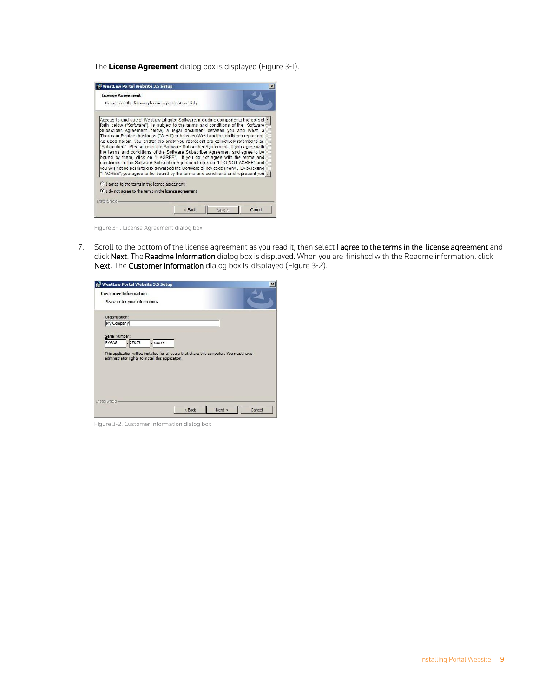The **License Agreement** dialog box is displayed (Figure 3-1).



Figure 3-1. License Agreement dialog box

7. Scroll to the bottom of the license agreement as you read it, then select I agree to the terms in the license agreement and click Next. The Readme Information dialog box is displayed. When you are finished with the Readme information, click Next. The Customer Information dialog box is [displayed \(Figure](#page-13-0) 3-2).

| <b>Customer Information</b>                                                                                                                                                                       |  |  |
|---------------------------------------------------------------------------------------------------------------------------------------------------------------------------------------------------|--|--|
| Please enter your information.                                                                                                                                                                    |  |  |
| Organization:                                                                                                                                                                                     |  |  |
| My Company                                                                                                                                                                                        |  |  |
|                                                                                                                                                                                                   |  |  |
| Serial Number:<br>2ZKJS<br>PVGA8<br><b>XXXXX</b><br>This application will be installed for all users that share this computer. You must have<br>administrator rights to install this application. |  |  |
| InstallShield                                                                                                                                                                                     |  |  |

<span id="page-13-0"></span>Figure 3-2. Customer Information dialog box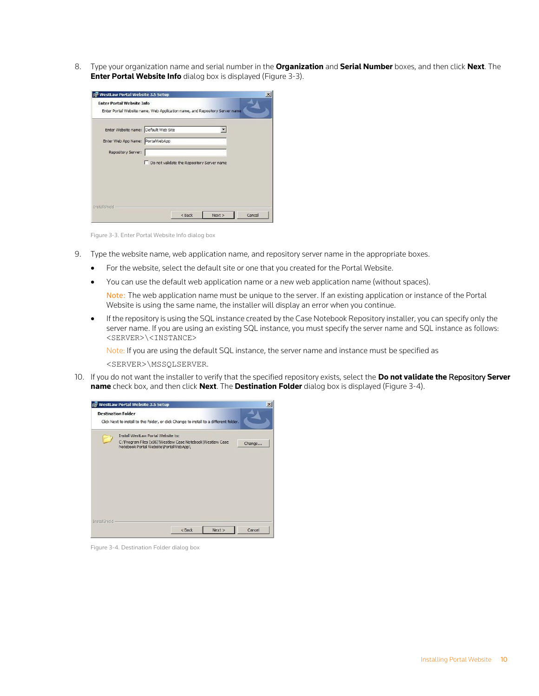8. Type your organization name and serial number in the **Organization** and **Serial Number** boxes, and then click **Next**. The **Enter Portal Website Info** [dialog box is displayed \(Figure](#page-14-0) 3-3).

| Enter Website name: Default Web Site |                                            |  |
|--------------------------------------|--------------------------------------------|--|
| Enter Web App Name: PortalWebApp     |                                            |  |
| Repository Server:                   |                                            |  |
|                                      | Do not validate the Repository Server name |  |
|                                      |                                            |  |
|                                      |                                            |  |
|                                      |                                            |  |

Figure 3-3. Enter Portal Website Info dialog box

- <span id="page-14-0"></span>9. Type the website name, web application name, and repository server name in the appropriate boxes.
	- For the website, select the default site or one that you created for the Portal Website.
	- You can use the default web application name or a new web application name (without spaces).

Note: The web application name must be unique to the server. If an existing application or instance of the Portal Website is using the same name, the installer will display an error when you continue.

 If the repository is using the SQL instance created by the Case Notebook Repository installer, you can specify only the server name. If you are using an existing SQL instance, you must specify the server name and SQL instance as follows: <SERVER>\<INSTANCE>

Note: If you are using the default SQL instance, the server name and instance must be specified as

<SERVER>\MSSQLSERVER.

10. If you do not want the installer to verify that the specified repository exists, select the **Do not validate the** Repository **Server name** check box, and then click **Next**. The **Destination Folder** [dialog box is displayed \(Figure](#page-14-1) 3-4).

| WestLaw Portal Website 3.5 Setup | <b>Destination Folder</b>                                                                          |        |
|----------------------------------|----------------------------------------------------------------------------------------------------|--------|
|                                  | Click Next to install to this folder, or click Change to install to a different folder.            |        |
|                                  | Install WestLaw Portal Website to:                                                                 |        |
|                                  | C: Program Files (x86) Westlaw Case Notebook Westlaw Case<br>Notebook Portal Website\PortalWebApp\ | Change |
|                                  |                                                                                                    |        |
|                                  |                                                                                                    |        |
|                                  |                                                                                                    |        |
|                                  |                                                                                                    |        |
|                                  |                                                                                                    |        |
|                                  |                                                                                                    |        |
|                                  |                                                                                                    |        |
| <b>InstallShield</b>             |                                                                                                    |        |

<span id="page-14-1"></span>Figure 3-4. Destination Folder dialog box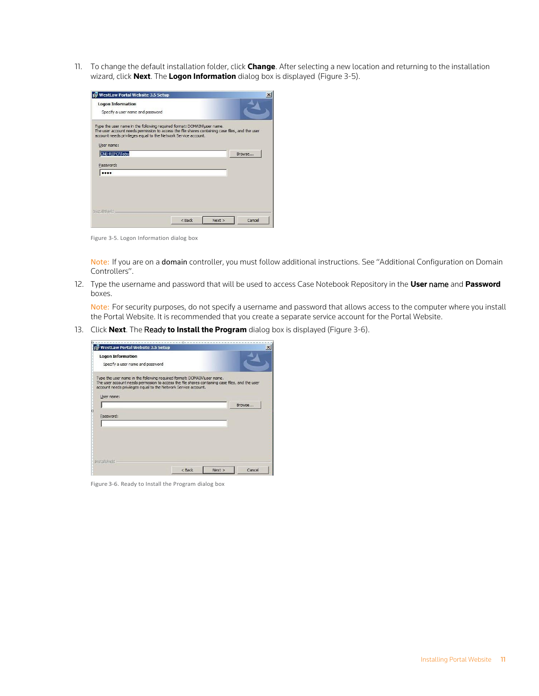11. To change the default installation folder, click **Change**. After selecting a new location and returning to the installation wizard, click **Next**. The **Logon Information** dialog box is displayed (Figure 3-5).

| <b>Logon Information</b>                                                     |                                                                                                                                                                           |        |
|------------------------------------------------------------------------------|---------------------------------------------------------------------------------------------------------------------------------------------------------------------------|--------|
| Specify a user name and password                                             |                                                                                                                                                                           |        |
| account needs privileges equal to the Network Service account.<br>User name: | Type the user name in the following required format: DOMAIN\user name.<br>The user account needs permission to access the file shares containing case files, and the user |        |
| CNB-REPO\Toby                                                                |                                                                                                                                                                           | Browse |
| Password:                                                                    |                                                                                                                                                                           |        |
|                                                                              |                                                                                                                                                                           |        |
|                                                                              |                                                                                                                                                                           |        |
|                                                                              |                                                                                                                                                                           |        |
|                                                                              |                                                                                                                                                                           |        |
| <b>InstallShield</b>                                                         |                                                                                                                                                                           |        |

Figure 3-5. Logon Information dialog box

Note: If you are on a domain controller, you must follow additional instructions. See ["Additional Configuration on Domain](#page-19-1)  [Controllers".](#page-19-1)

12. Type the username and password that will be used to access Case Notebook Repository in the **User** name and **Password** boxes.

Note: For security purposes, do not specify a username and password that allows access to the computer where you install the Portal Website. It is recommended that you create a separate service account for the Portal Website.

13. Click **Next**. The Ready **to Install the Program** [dialog box is displayed \(Figure](#page-15-0) 3-6).

| <b>Logon Information</b>                                                                                                                                                                                                                    |        |
|---------------------------------------------------------------------------------------------------------------------------------------------------------------------------------------------------------------------------------------------|--------|
| Specify a user name and password                                                                                                                                                                                                            |        |
| Type the user name in the following required format: DOMAIN\user name.<br>The user account needs permission to access the file shares containing case files, and the user<br>account needs privileges equal to the Network Service account. |        |
| User name:                                                                                                                                                                                                                                  |        |
|                                                                                                                                                                                                                                             | Browse |
| Password:                                                                                                                                                                                                                                   |        |
|                                                                                                                                                                                                                                             |        |
|                                                                                                                                                                                                                                             |        |
|                                                                                                                                                                                                                                             |        |
|                                                                                                                                                                                                                                             |        |
|                                                                                                                                                                                                                                             |        |

<span id="page-15-0"></span>Figure 3-6. Ready to Install the Program dialog box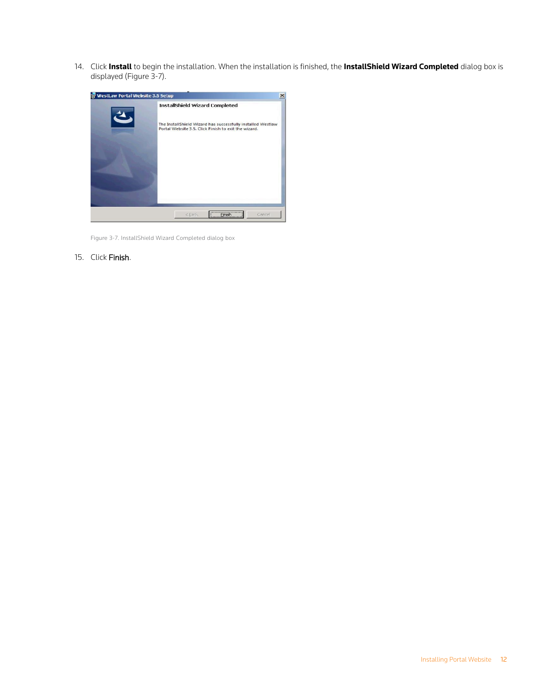14. Click **Install** to begin the installation. When the installation is finished, the **InstallShield Wizard Completed** [dialog box](#page-16-0) is [displayed \(Figure](#page-16-0) 3-7).

| <b>WestLaw Portal Website 3.5 Setup</b> |                                                                                                                     | $\vert x \vert$ |
|-----------------------------------------|---------------------------------------------------------------------------------------------------------------------|-----------------|
|                                         | <b>InstallShield Wizard Completed</b>                                                                               |                 |
|                                         | The InstallShield Wizard has successfully installed Westlaw<br>Portal Website 3.5, Click Finish to exit the wizard. |                 |
|                                         |                                                                                                                     |                 |
|                                         |                                                                                                                     |                 |
|                                         |                                                                                                                     |                 |
|                                         |                                                                                                                     |                 |
|                                         | Finish<br>Cancel<br><back< td=""><td></td></back<>                                                                  |                 |

Figure 3-7. InstallShield Wizard Completed dialog box

#### <span id="page-16-0"></span>15. Click Finish.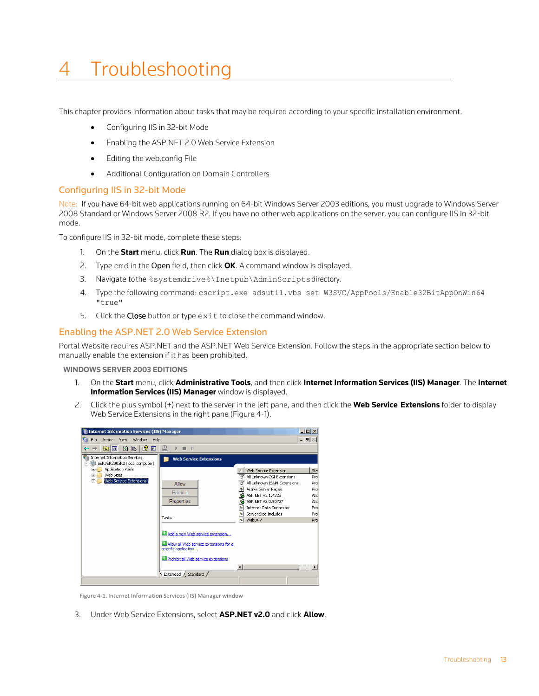### <span id="page-17-0"></span>4 Troubleshooting

This chapter provides information about tasks that may be required according to your specific installation environment.

- [Configuring IIS in 32-bit Mode](#page-17-1)
- Enabling the ASP.NET 2.0 Web Service Extension
- [Editing the web.config File](#page-3-0)
- [Additional Configuration on Domain Controllers](#page-3-0)

#### <span id="page-17-1"></span>Configuring IIS in 32-bit Mode

Note: If you have 64-bit web applications running on 64-bit Windows Server 2003 editions, you must upgrade to Windows Server 2008 Standard or Windows Server 2008 R2. If you have no other web applications on the server, you can configure IIS in 32-bit mode.

To configure IIS in 32-bit mode, complete these steps:

- 1. On the **Start** menu, click **Run**. The **Run** dialog box is displayed.
- 2. Type cmd in the Open field, then click **OK**. A command window is displayed.
- 3. Navigate tothe %systemdrive%\Inetpub\AdminScriptsdirectory.
- 4. Type the following command: cscript.exe adsutil.vbs set W3SVC/AppPools/Enable32BitAppOnWin64 "true"
- 5. Click the Close button or type exit to close the command window.

#### <span id="page-17-2"></span>Enabling the ASP.NET 2.0 Web Service Extension

Portal Website requires ASP.NET and the ASP.NET Web Service Extension. Follow the steps in the appropriate section below to manually enable the extension if it has been prohibited.

#### <span id="page-17-3"></span>**WINDOWS SERVER 2003 EDITIONS**

- 1. On the **Start** menu, click **Administrative Tools**, and then click **Internet Information Services (IIS) Manager**. The **Internet Information Services (IIS) Manager** window is displayed.
- 2. Click the plus symbol (+) next to the server in the left pane, and then click the **Web Service Extensions** folder to display Web Service Extensions in the right pane (Figure 4-1).



Figure 4-1. Internet Information Services (IIS) Manager window

3. Under Web Service Extensions, select **ASP.NET v2.0** and click **Allow**.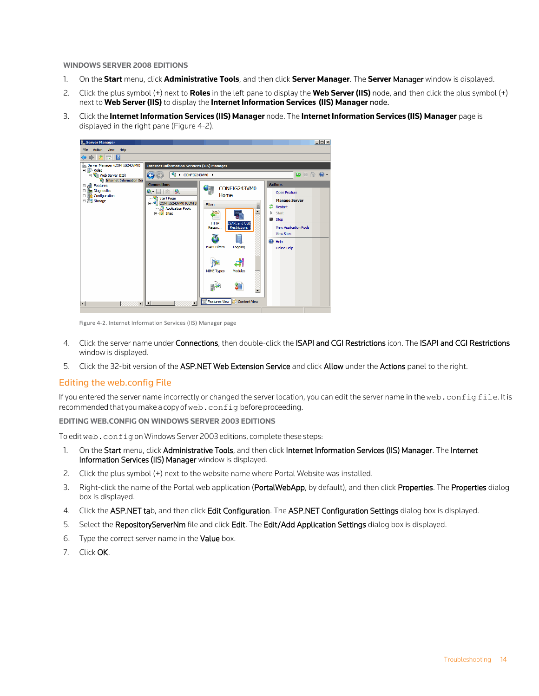#### <span id="page-18-0"></span>**WINDOWS SERVER 2008 EDITIONS**

- 1. On the **Start** menu, click **Administrative Tools**, and then click **Server Manager**. The **Server** Manager window is displayed.
- 2. Click the plus symbol (+) next to **Roles** in the left pane to display the **Web Server (IIS)** node, and then click the plus symbol (+) next to **Web Server (IIS)** to display the **Internet Information Services (IIS) Manager** node.
- 3. Click the **Internet Information Services (IIS) Manager** node. The **Internet Information Services (IIS) Manager** page is displayed in the right pane (Figure 4-2).



Figure 4-2. Internet Information Services (IIS) Manager page

- 4. Click the server name under Connections, then double-click the ISAPI and CGI Restrictions icon. The ISAPI and CGI Restrictions window is displayed.
- 5. Click the 32-bit version of the ASP.NET Web Extension Service and click Allow under the Actions panel to the right.

#### <span id="page-18-1"></span>Editing the web.config File

If you entered the server name incorrectly or changed the server location, you can edit the server name in the web.configfile. It is recommended that you make a copy of web.config before proceeding.

<span id="page-18-2"></span>**EDITING WEB.CONFIG ON WINDOWS SERVER 2003 EDITIONS**

To edit web.config on Windows Server 2003 editions, complete these steps:

- 1. On the Start menu, click Administrative Tools, and then click Internet Information Services (IIS) Manager. The Internet Information Services (IIS) Manager window is displayed.
- 2. Click the plus symbol (+) next to the website name where Portal Website was installed.
- 3. Right-click the name of the Portal web application (PortalWebApp, by default), and then click Properties. The Properties dialog box is displayed.
- 4. Click the ASP.NET tab, and then click Edit Configuration. The ASP.NET Configuration Settings dialog box is displayed.
- 5. Select the RepositoryServerNm file and click Edit. The Edit/Add Application Settings dialog box is displayed.
- 6. Type the correct server name in the Value box.
- 7. Click OK.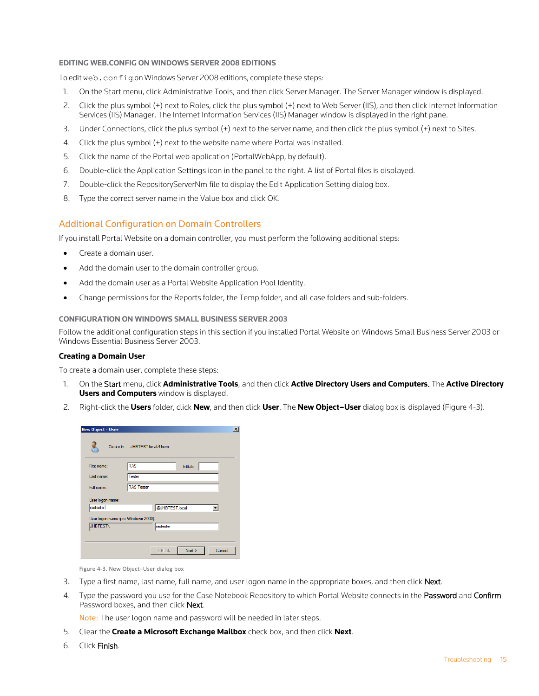#### <span id="page-19-0"></span>**EDITING WEB.CONFIG ON WINDOWS SERVER 2008 EDITIONS**

To edit web.config on Windows Server 2008 editions, complete these steps:

- 1. On the Start menu, click Administrative Tools, and then click Server Manager. The Server Manager window is displayed.
- 2. Click the plus symbol (+) next to Roles, click the plus symbol (+) next to Web Server (IIS), and then click Internet Information Services (IIS) Manager. The Internet Information Services (IIS) Manager window is displayed in the right pane.
- 3. Under Connections, click the plus symbol (+) next to the server name, and then click the plus symbol (+) next to Sites.
- 4. Click the plus symbol (+) next to the website name where Portal was installed.
- 5. Click the name of the Portal web application (PortalWebApp, by default).
- 6. Double-click the Application Settings icon in the panel to the right. A list of Portal files is displayed.
- 7. Double-click the RepositoryServerNm file to display the Edit Application Setting dialog box.
- 8. Type the correct server name in the Value box and click OK.

#### <span id="page-19-1"></span>Additional Configuration on Domain Controllers

If you install Portal Website on a domain controller, you must perform the following additional steps:

- Create a domain user.
- Add the domain user to the domain controller group.
- Add the domain user as a Portal Website Application Pool Identity.
- Change permissions for the Reports folder, the Temp folder, and all case folders and sub-folders.

#### <span id="page-19-2"></span>**CONFIGURATION ON WINDOWS SMALL BUSINESS SERVER 2003**

Follow the additional configuration steps in this section if you installed Portal Website on Windows Small Business Server 2003 or Windows Essential Business Server 2003.

#### <span id="page-19-4"></span>**Creating a Domain User**

To create a domain user, complete these steps:

- 1. On the Start menu, click **Administrative Tools**, and then click **Active Directory Users and Computers**. The **Active Directory Users and Computers** window is displayed.
- 2. Right-click the **Users** folder, click **New**, and then click **User**. The **New Object–User** dialog box is displayed (Figure 4-3).

| <b>New Object - User</b>            |                                | $\vert x \vert$ |
|-------------------------------------|--------------------------------|-----------------|
|                                     | Create in: JHBTEST.local/Users |                 |
| First name:                         | <b>RAS</b><br>Initials:        |                 |
| Last name:                          | Tester                         |                 |
| Full name:                          | <b>RAS Tester</b>              |                 |
| User logon name:                    |                                |                 |
| rastester                           | @JHBTEST.local                 |                 |
| User logon name (pre-Windows 2000): |                                |                 |
| <b>JHBTEST\</b>                     | rastester                      |                 |
|                                     |                                |                 |
|                                     | Next<br>< Back                 | Cancel          |

Figure 4-3. New Object–User dialog box

- <span id="page-19-3"></span>3. Type a first name, last name, full name, and user logon name in the appropriate boxes, and then click Next.
- <span id="page-19-5"></span>4. Type the password you use for the Case Notebook Repository to which Portal Website connects in the Password and Confirm Password boxes, and then click Next.

Note: The user logon name and password will be needed in later steps.

- 5. Clear the **Create a Microsoft Exchange Mailbox** check box, and then click **Next**.
- 6. Click Finish.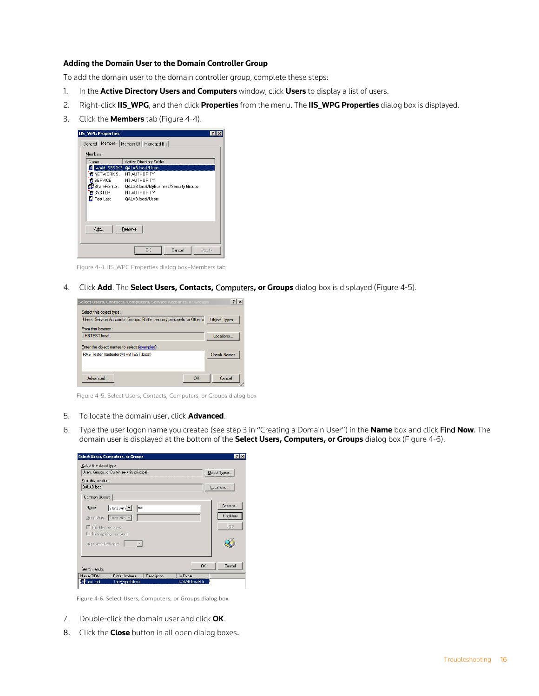#### **Adding the Domain User to the Domain Controller Group**

To add the domain user to the domain controller group, complete these steps:

- 1. In the **Active Directory Users and Computers** window, click **Users** to display a list of users.
- 2. Right-click **IIS\_WPG**, and then click **Properties** from the menu. The **IIS\_WPG Properties** dialog box is displayed.
- 3. Click the **Members** tab (Figure 4-4).

| <b>IIS_WPG Properties</b>       |                                                        |  |
|---------------------------------|--------------------------------------------------------|--|
|                                 | General Members   Member Of   Managed By               |  |
| Members:                        |                                                        |  |
| Name                            | Active Directory Folder                                |  |
|                                 | <b>K IWAM_SBS2K3_QALAB.local/Users</b>                 |  |
| <b>BINETWORK S NT AUTHORITY</b> |                                                        |  |
| SERVICE NT AUTHORITY            |                                                        |  |
|                                 | 33 SharePoint A QALAB.local/MyBusiness/Security Groups |  |
| <b>BE SYSTEM</b>                | NT AUTHORITY                                           |  |
| $\Omega$ Test Last              | QALAB.local/Users                                      |  |
|                                 |                                                        |  |
|                                 |                                                        |  |
|                                 |                                                        |  |
| Add                             | Remove                                                 |  |
|                                 |                                                        |  |
|                                 |                                                        |  |
|                                 | <b>OK</b><br>Cancel<br>Apply                           |  |
|                                 |                                                        |  |

Figure 4-4. IIS\_WPG Properties dialog box–Members tab

4. Click **Add**. The **Select Users, Contacts,** Computers**, or Groups** dialog box is displayed (Figure 4-5).



Figure 4-5. Select Users, Contacts, Computers, or Groups dialog box

- 5. To locate the domain user, click **Advanced**.
- 6. [Type the user logon name you created \(see step 3](#page-19-3) in ["Creating a Domain User"](#page-19-4)) in the **Name** box and click Find **Now**. The domain user is displayed at the bottom of the **Select Users, Computers, or Groups** dialog box (Figure 4-6).

|                       | Users, Groups, or Built-in security principals |                  | Object Types. |
|-----------------------|------------------------------------------------|------------------|---------------|
| From this incation:   |                                                |                  |               |
| QALAB.local           |                                                |                  | Locations     |
| Common Queries        |                                                |                  |               |
| Name:                 | Starts with =                                  | test             | Columns       |
|                       | Description: Starts with ~                     |                  | Find Now      |
| Disabled accounts     |                                                |                  | <b>Stop</b>   |
|                       | Non expiring password                          |                  |               |
| Days since last logon |                                                | $\overline{\nu}$ |               |
|                       |                                                |                  |               |
|                       |                                                |                  |               |
|                       |                                                |                  |               |

Figure 4-6. Select Users, Computers, or Groups dialog box

- 7. Double-click the domain user and click **OK**.
- 8. Click the **Close** button in all open dialog boxes.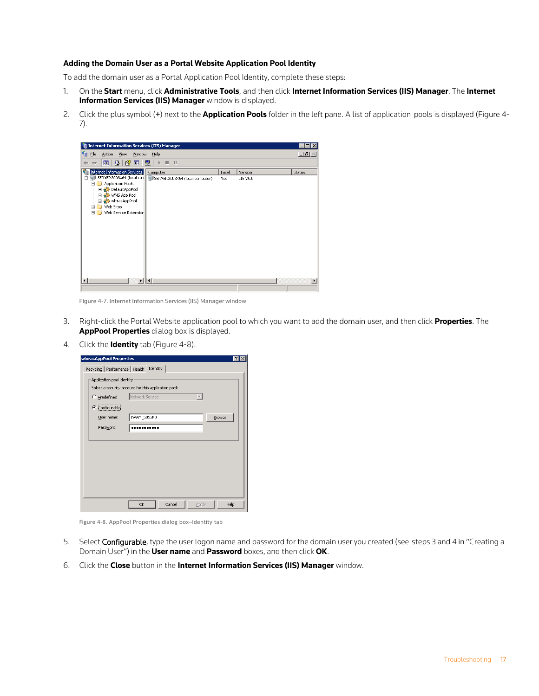#### **Adding the Domain User as a Portal Website Application Pool Identity**

To add the domain user as a Portal Application Pool Identity, complete these steps:

- 1. On the **Start** menu, click **Administrative Tools**, and then click **Internet Information Services (IIS) Manager**. The **Internet Information Services (IIS) Manager** window is displayed.
- 2. Click the plus symbol (+) next to the **Application Pools** folder in the left pane. A list of application pools is displayed (Figure 4- 7).



Figure 4-7. Internet Information Services (IIS) Manager window

- 3. Right-click the Portal Website application pool to which you want to add the domain user, and then click **Properties**. The **AppPool Properties** dialog box is displayed.
- 4. Click the **Identity** [tab \(Figure](#page-21-0) 4-8).

| winrasAppPool Properties                                     |                                                                         | ? x |
|--------------------------------------------------------------|-------------------------------------------------------------------------|-----|
| Recycling Performance Health Identity                        |                                                                         |     |
| Application pool identity<br>Predefined<br>c<br>Configurable | Select a security account for this application pool:<br>Network Service |     |
| User name:                                                   | IWAM SBS2K3<br>Browse                                                   |     |
| Password:                                                    |                                                                         |     |
|                                                              |                                                                         |     |
|                                                              | Cancel<br>OK<br>Help<br>Apply                                           |     |

<span id="page-21-0"></span>Figure 4-8. AppPool Properties dialog box–Identity tab

- 5. Select Configurable, type the user logon name and password for the domain user you created (see steps [3](#page-19-3) and [4](#page-19-5) in ["Creating](#page-19-4) a [Domain](#page-19-4) User") in the **User name** and **Password** boxes, and then click **OK**.
- 6. Click the **Close** button in the **Internet Information Services (IIS) Manager** window.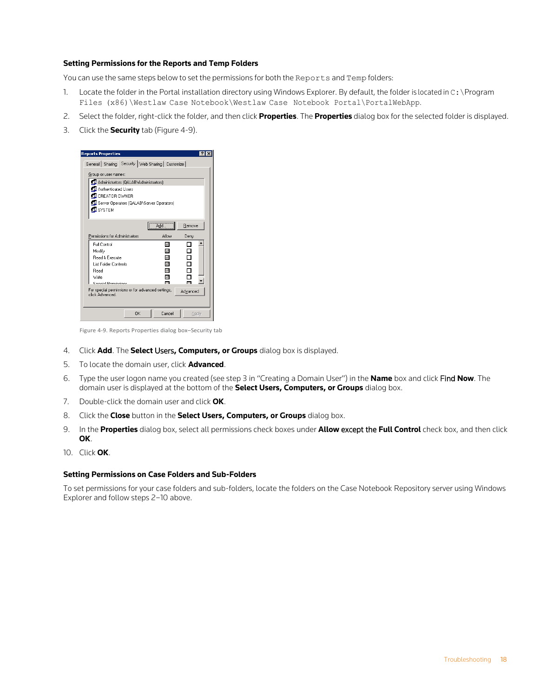#### **Setting Permissions for the Reports and Temp Folders**

You can use the same steps below to set the permissions for both the Reports and Temp folders:

- 1. Locate the folder in the Portal installation directory using Windows Explorer. By default, the folder is located in C:\Program Files (x86)\Westlaw Case Notebook\Westlaw Case Notebook Portal\PortalWebApp.
- 2. Select the folder, right-click the folder, and then click **Properties**. The **Properties** dialog box for the selected folder is displayed.
- 3. Click the **Security** [tab \(Figure](#page-22-0) 4-9).

| <b>Reports Properties</b>                                            |                                           |        |          |  |  |
|----------------------------------------------------------------------|-------------------------------------------|--------|----------|--|--|
| General Sharing Security   Web Sharing   Customize                   |                                           |        |          |  |  |
| Group or user names:                                                 |                                           |        |          |  |  |
|                                                                      | 32 Administrators (QALAB\Administrators)  |        |          |  |  |
| <b>132</b> Authenticated Users                                       |                                           |        |          |  |  |
| <b>12</b> CREATOR OWNER                                              |                                           |        |          |  |  |
|                                                                      | Server Operators (QALAB\Server Operators) |        |          |  |  |
| <b>122 SYSTEM</b>                                                    |                                           |        |          |  |  |
|                                                                      |                                           |        |          |  |  |
|                                                                      |                                           | Add.   | Remove   |  |  |
| Permissions for Administrators                                       |                                           | Allow  | Deny     |  |  |
| Full Control                                                         |                                           | €      | ٠        |  |  |
| Modify                                                               |                                           | ✓      | ┑        |  |  |
| Read & Execute                                                       |                                           | ✓      | Δ        |  |  |
| List Eolder Contents                                                 |                                           | ✓      | ò        |  |  |
| Read                                                                 |                                           | √      | Ω<br>┑   |  |  |
| Write<br><b>Consid Demissions</b>                                    |                                           |        |          |  |  |
| For special permissions or for advanced settings,<br>click Advanced. |                                           |        | Advanced |  |  |
|                                                                      | <b>n</b> <sub>K</sub>                     | Cancel | Apply    |  |  |

<span id="page-22-0"></span>Figure 4-9. Reports Properties dialog box–Security tab

- 4. Click **Add**. The **Select** Users**, Computers, or Groups** dialog box is displayed.
- 5. To locate the domain user, click **Advanced**.
- 6. [Type the user logon name you created \(see step 3](#page-19-3) in ["Creating a Domain User"](#page-19-4)) in the **Name** box and click Find **Now**. The domain user is displayed at the bottom of the **Select Users, Computers, or Groups** dialog box.
- 7. Double-click the domain user and click **OK**.
- 8. Click the **Close** button in the **Select Users, Computers, or Groups** dialog box.
- 9. In the **Properties** dialog box, select all permissions check boxes under **Allow** except the **Full Control** check box, and then click **OK**.
- <span id="page-22-1"></span>10. Click **OK**.

#### **Setting Permissions on Case Folders and Sub-Folders**

To set permissions for your case folders and sub-folders, locate the folders on the Case Notebook [Repository server using Windows](#page-22-1)  [Explorer and follow steps 2](#page-22-1)–10 above.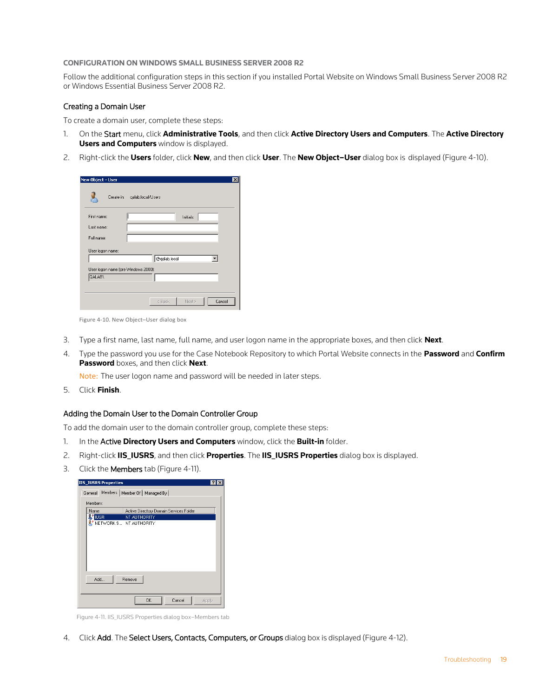#### <span id="page-23-0"></span>**CONFIGURATION ON WINDOWS SMALL BUSINESS SERVER 2008 R2**

Follow the additional configuration steps in this section if you installed Portal Website on Windows Small Business Server 2008 R2 or Windows Essential Business Server 2008 R2.

#### <span id="page-23-4"></span>Creating a Domain User

To create a domain user, complete these steps:

- 1. On the Start menu, click **Administrative Tools**, and then click **Active Directory Users and Computers**. The **Active Directory Users and Computers** window is displayed.
- 2. Right-click the **Users** folder, click **New**, and then click **User**. The **New Object–User** dialog box is [displayed \(Figure 4-10\).](#page-23-1)

| <b>New Object - User</b> |                                     | ×      |
|--------------------------|-------------------------------------|--------|
| Create in:               | qalab.local/Users                   |        |
| First name:              | Initials:                           |        |
| Last name:               |                                     |        |
| Full name:               |                                     |        |
| User logon name:         |                                     |        |
|                          | @qalab.local                        | ▼      |
|                          | User logon name (pre-Windows 2000): |        |
| QALAB\                   |                                     |        |
|                          |                                     |        |
|                          | < Back<br>Next >                    | Cancel |
|                          |                                     |        |

<span id="page-23-1"></span>Figure 4-10. New Object–User dialog box

- <span id="page-23-3"></span>3. Type a first name, last name, full name, and user logon name in the appropriate boxes, and then click **Next**.
- <span id="page-23-5"></span>4. Type the password you use for the Case Notebook Repository to which Portal Website connects in the **Password** and **Confirm Password** boxes, and then click **Next**.

Note: The user logon name and password will be needed in later steps.

5. Click **Finish**.

#### Adding the Domain User to the Domain Controller Group

To add the domain user to the domain controller group, complete these steps:

- 1. In the Active **Directory Users and Computers** window, click the **Built-in** folder.
- 2. Right-click **IIS\_IUSRS**, and then click **Properties**. The **IIS\_IUSRS Properties** dialog box is displayed.
- 3. Click the **Members** [tab \(Figure](#page-23-2) 4-11).

| <b>IIS_IUSRS Properties</b> |                                         |                                          |  |        |       |
|-----------------------------|-----------------------------------------|------------------------------------------|--|--------|-------|
|                             |                                         | General Members   Member Of   Managed By |  |        |       |
| Members:                    |                                         |                                          |  |        |       |
| Name                        | Active Directory Domain Services Folder |                                          |  |        |       |
| <b>A</b> IUSR               |                                         | NT AUTHORITY                             |  |        |       |
|                             |                                         | $\sqrt[3]{}$ NETWORK S NT AUTHORITY      |  |        |       |
|                             |                                         |                                          |  |        |       |
|                             |                                         |                                          |  |        |       |
|                             |                                         |                                          |  |        |       |
|                             |                                         |                                          |  |        |       |
|                             |                                         |                                          |  |        |       |
|                             |                                         |                                          |  |        |       |
|                             |                                         |                                          |  |        |       |
|                             | Add                                     | Remove                                   |  |        |       |
|                             |                                         |                                          |  |        |       |
|                             |                                         | 0K                                       |  | Cancel | Apply |
|                             |                                         |                                          |  |        |       |

<span id="page-23-2"></span>Figure 4-11. IIS\_IUSRS Properties dialog box–Members tab

4. Click Add. The Select Users, Contacts, Computers, or Groups dialog box is displayed [\(Figure 4-12\).](#page-24-0)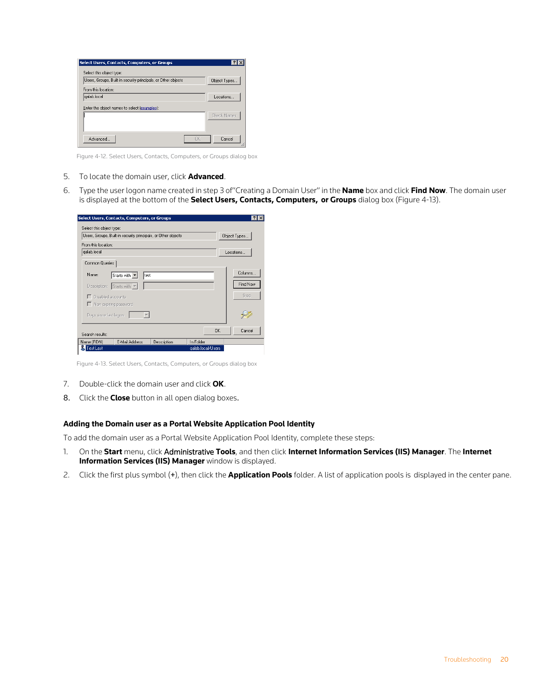| Select Users, Contacts, Computers, or Groups                  |                    |
|---------------------------------------------------------------|--------------------|
| Select this object type:                                      |                    |
| Users, Groups, Built-in security principals, or Other objects | Object Types       |
| From this location:                                           |                    |
| galab.local                                                   | Locations          |
| Enter the object names to select (examples):                  |                    |
|                                                               | <b>Check Names</b> |
|                                                               |                    |
| Advanced<br>ПΚ                                                | Cancel             |
|                                                               |                    |

<span id="page-24-0"></span>Figure 4-12. Select Users, Contacts, Computers, or Groups dialog box

- 5. To locate the domain user, click **Advanced**.
- 6. Type the user logon name created in [step](#page-23-3) 3 of["Creating](#page-23-4) a Domain User" in the **Name** box and click **Find Now**. The domain user is displayed at the bottom of the **Select Users, Contacts, Computers, or Groups** dialog bo[x \(Figure](#page-24-1) 4-13).

|                          | Select Users, Contacts, Computers, or Groups                  |             |                   |    |              |
|--------------------------|---------------------------------------------------------------|-------------|-------------------|----|--------------|
| Select this object type: | Users, Groups, Built-in security principals, or Other objects |             |                   |    | Object Types |
| From this location:      |                                                               |             |                   |    |              |
| galab.local              |                                                               |             |                   |    | Locations    |
| Common Queries           |                                                               |             |                   |    |              |
| Name:                    | Starts with $\vert \mathbf{v} \vert$<br>test                  |             |                   |    | Columns      |
|                          | Description: Starts with v                                    |             |                   |    | Find Now     |
| □ Disabled accounts      |                                                               |             |                   |    | Stop         |
|                          | $\Box$ Non expiring password                                  |             |                   |    |              |
| Days since last logon:   |                                                               |             |                   |    |              |
|                          |                                                               |             |                   | OK | Cancel       |
| Search results:          |                                                               |             |                   |    |              |
| Name (RDN)               | E-Mail Address                                                | Description | In Folder         |    |              |
| Test Last                |                                                               |             | galab.local/Users |    |              |

<span id="page-24-1"></span>Figure 4-13. Select Users, Contacts, Computers, or Groups dialog box

- 7. Double-click the domain user and click **OK**.
- 8. Click the **Close** button in all open dialog boxes.

#### **Adding the Domain user as a Portal Website Application Pool Identity**

To add the domain user as a Portal Website Application Pool Identity, complete these steps:

- 1. On the **Start** menu, click Administrative **Tools**, and then click **Internet Information Services (IIS) Manager**. The **Internet Information Services (IIS) Manager** window is displayed.
- 2. Click the first plus symbol (+), then click the **Application Pools** folder. A list of application pools is displayed in the center pane.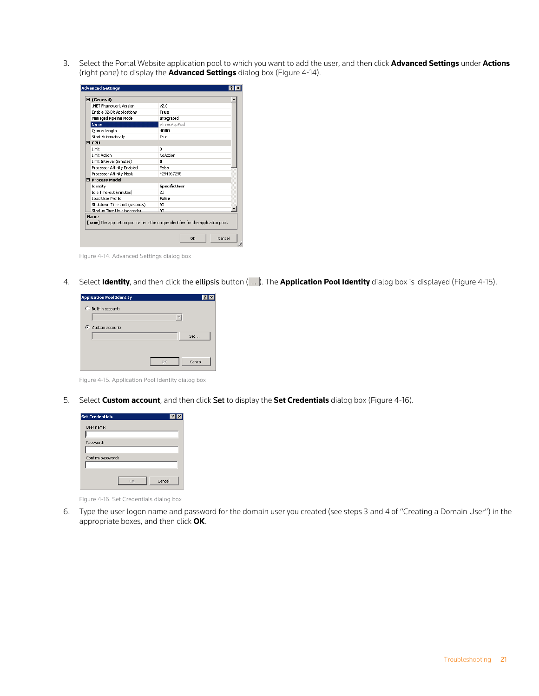3. Select the Portal Website application pool to which you want to add the user, and then click **Advanced Settings** under **Actions** (right pane) to display the **Advanced Settings** dialog box [\(Figure](#page-25-0) 4-14).

| □ (General)                   |                     |
|-------------------------------|---------------------|
| .NFT Framework Version.       | v2.0                |
| Enable 32-Bit Applications    | True                |
| Managed Pipeline Mode         | Integrated          |
| Name                          | winrasAppPool       |
| Oueue Length                  | 4000                |
| <b>Start Automatically</b>    | True                |
| E CPU                         |                     |
| I imit                        | n                   |
| Limit Action                  | NoAction            |
| Limit Interval (minutes)      | n                   |
| Processor Affinity Enabled    | Ealse               |
| Processor Affinity Mask       | 4294967295          |
| □ Process Model               |                     |
| Identity                      | <b>SpecificUser</b> |
| Idle Time-out (minutes)       | 20                  |
| Load Liser Profile            | False               |
| Shutdown Time Limit (seconds) | 90                  |
| Startun Time Limit (seconds). | 90                  |
|                               |                     |

<span id="page-25-0"></span>Figure 4-14. Advanced Settings dialog box

4. Select **Identity**, and then click the ellipsis button (... ). The **Application Pool Identity** dialog box is [displayed \(Figure 4-15\).](#page-25-1)



Figure 4-15. Application Pool Identity dialog box

<span id="page-25-1"></span>5. Select **Custom account**, and then click Set to display the **Set Credentials** [dialog box \(Figure](#page-25-2) 4-16).



Figure 4-16. Set Credentials dialog box

<span id="page-25-2"></span>6. [Type the user logon name and password for the domain user you created \(see steps 3](#page-23-3) an[d 4](#page-23-5) of ["Creating a Domain User"\)](#page-23-4) in the appropriate boxes, and then click **OK**.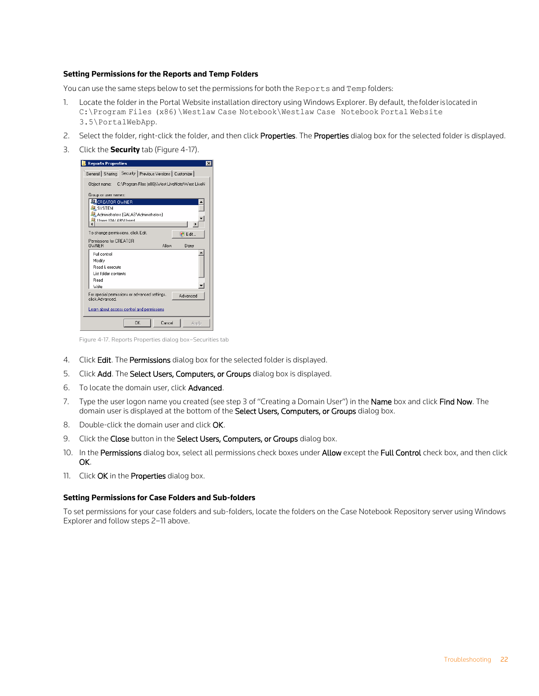#### **Setting Permissions for the Reports and Temp Folders**

You can use the same steps below to set the permissions for both the Reports and Temp folders:

- 1. Locate the folder in the Portal Website installation directory using Windows Explorer. By default, the folderis located in C:\Program Files (x86)\Westlaw Case Notebook\Westlaw Case Notebook Portal Website 3.5\PortalWebApp.
- <span id="page-26-1"></span>2. Select the folder, right-click the folder, and then click Properties. The Properties dialog box for the selected folder is displayed.
- 3. Click the **Security** [tab \(Figure](#page-26-0) 4-17).

| <b>Reports Properties</b><br>$\mathsf{x}$                                   |  |  |  |  |  |
|-----------------------------------------------------------------------------|--|--|--|--|--|
| General Sharing Security Previous Versions   Customize                      |  |  |  |  |  |
| C:\Program Files (x86)\West LiveNote\West LiveN<br>Object name:             |  |  |  |  |  |
| Group or user names:                                                        |  |  |  |  |  |
| CREATOR OWNER                                                               |  |  |  |  |  |
| SYSTEM                                                                      |  |  |  |  |  |
| Administrators (QALAB\Administrators)                                       |  |  |  |  |  |
| <b>RELIGERS IDALARMISERS)</b>                                               |  |  |  |  |  |
|                                                                             |  |  |  |  |  |
| To change permissions, click Edit,<br>Edit                                  |  |  |  |  |  |
| Permissions for CBEATOB<br><b>NWNFR</b><br>Allow                            |  |  |  |  |  |
| Deny                                                                        |  |  |  |  |  |
| Full control                                                                |  |  |  |  |  |
| Modify                                                                      |  |  |  |  |  |
| Bead & execute                                                              |  |  |  |  |  |
| List folder contents                                                        |  |  |  |  |  |
| Read                                                                        |  |  |  |  |  |
| Write                                                                       |  |  |  |  |  |
| For special permissions or advanced settings,<br>Advanced<br>click Advanced |  |  |  |  |  |
| Learn about access control and permissions                                  |  |  |  |  |  |
| <b>n</b> <sub>K</sub><br>Cancel<br>Apply                                    |  |  |  |  |  |

<span id="page-26-0"></span>Figure 4-17. Reports Properties dialog box–Securities tab

- 4. Click Edit. The Permissions dialog box for the selected folder is displayed.
- 5. Click Add. The Select Users, Computers, or Groups dialog box is displayed.
- 6. To locate the domain user, click Advanced.
- 7. [Type the user logon name you created \(see step 3](#page-23-3) of ["Creating a Domain User"\)](#page-23-4) in the Name box and click Find Now. The domain user is displayed at the bottom of the Select Users, Computers, or Groups dialog box.
- 8. Double-click the domain user and click OK.
- 9. Click the Close button in the Select Users, Computers, or Groups dialog box.
- 10. In the Permissions dialog box, select all permissions check boxes under Allow except the Full Control check box, and then click OK.
- 11. Click OK in the Properties dialog box.

#### **Setting Permissions for Case Folders and Sub-folders**

To set permissions for your case folders and sub-folders, locate the folders on the Case Notebook [Repository server using Windows](#page-26-1)  [Explorer and follow steps 2](#page-26-1)–11 above.